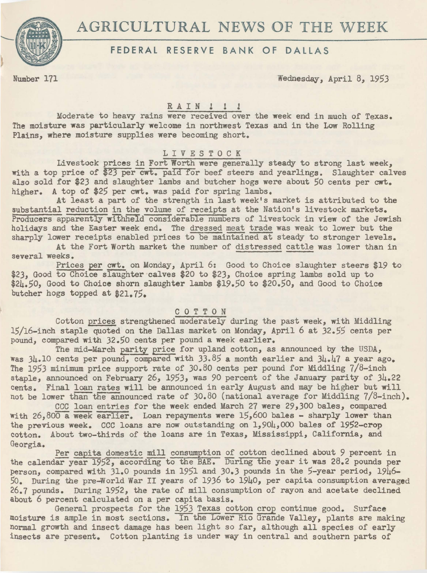

## FEDERAL RESERVE BANK OF DALLAS

Number 171 Wednesday, April *8,* 1953

# RAIN !!!

Moderate to heavy rains were received over the week end in much of Texas. The moisture was particularly welcome in northwest Texas and in the Low Rolling Plains, where moisture supplies were becoming short.

## LIVESTOCK

Livestock prices in Fort Worth were generally steady to strong last week, with a top price of \$23 per cwt. paid for beef steers and yearlings. Slaughter calves also sold for \$23 and slaughter lambs and butcher hogs were about *50* cents per cwt. higher. A top of \$25 per cwt. was paid for spring lambs.

At least a part of the strength in last week's market is attributed to the substantial reduction in the volume of receipts at the Nation's livestock markets. Producers apparently withheld considerable numbers of livestock in view of the Jewish holidays and the Easter week end. The dressed meat trade was weak to lower but the sharply lower receipts enabled prices to be maintained at steady to stronger levels.

At the Fort Worth market the number of distressed cattle was lower than in several weeks.

Prices per cwt. on Monday, April 6: Good to Choice slaughter steers \$19 to *\$23,* Good to Choice slaughter ·calves \$20 to *\$23,* Choice spring lambs sold up to \$24.50, Good to Choice shorn slaughter lambs \$19.50 to \$20.50, and Good to Choice butcher hogs topped at \$21.75.

## C 0 T T 0 N

Cotton prices strengthened moderately during the past week, with Middling 15/16-inch staple quoted on the Dallas market on Monday, April 6 at 32.55 cents per pound, compared with 32.50 cents per pound a week earlier.

The mid-March parity price for upland cotton, as announced by the USDA, was  $3\mu_*10$  cents per pound, compared with  $33.85$  a month earlier and  $3\mu_*17$  a year ago. The 1953 minimum price support rate of 30.80 cents per pound for Middling 7/8-inch staple, announced on February *26,* 1953, was 90 percent of the January parity of 34.22 cents. Final loan rates will be announced in early August and may be higher but will not be lower than the announced rate of  $30.80$  (national average for Middling  $7/8$ -inch).

CCC loan entries for the week ended March 27 were 29,300 bales, compared with 26,800 a week earlier. Loan repayments were 15,600 bales - sharply lower than the previous week. CCC loans are now outstanding on 1,904,000 bales of 1952-crop cotton. About two-thirds of the loans are in Texas, Mississippi, California, and Georgia.<br>**\*** Per capita domestic mill consumption of cotton declined about 9 percent in

the calendar year 1952, according to the BAE. During the year it was 28.2 pounds per person, compared with 31.0 pounds in 1951 and 30.3 pounds in the 5-year period, 1946-*50.* During *the* pre-World War II years of 1936 to 1940, per capita consumption averaged 26.7 pounds. During 1952, the rate of mill consumption of rayon and acetate declined about 6 percent calculated on a per capita basis.

General prospects for the 1953 Texas cotton crop continue good. Surface moisture is ample in most sections. In the Lower Rio Grande Valley, plants are making normal growth and insect damage has been light so far, although all species of early insects are present. Cotton planting is under way in central and southern parts of